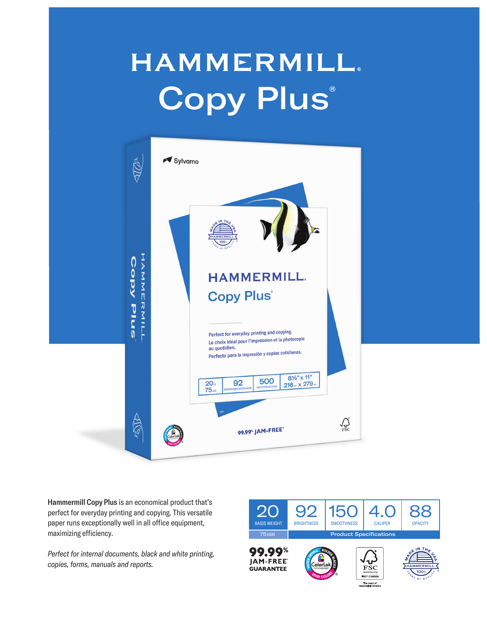## **HAMMERMILL. Copy Plus®**



Hammermill Copy Plus is an economical product that's perfect for everyday printing and copying. This versatile paper runs exceptionally well in all office equipment, maximizing efficiency.

*Perfect for internal documents, black and white printing, copies, forms, manuals and reports.*